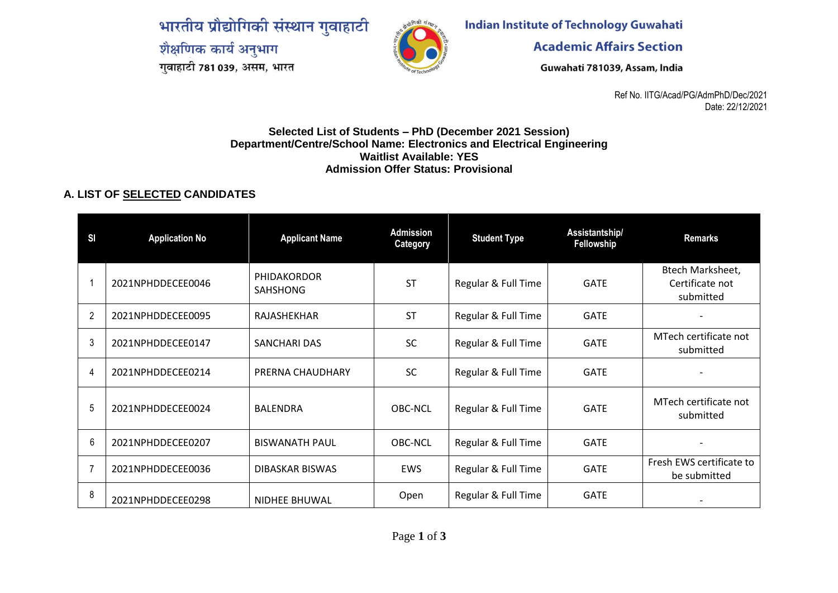भारतीय प्रौद्योगिकी संस्थान गुवाहाटी शैक्षणिक कार्य अनुभाग गुवाहाटी 781 039, असम, भारत



**Indian Institute of Technology Guwahati** 

**Academic Affairs Section** 

Guwahati 781039, Assam, India

Ref No. IITG/Acad/PG/AdmPhD/Dec/2021 Date: 22/12/2021

## **Selected List of Students – PhD (December 2021 Session) Department/Centre/School Name: Electronics and Electrical Engineering Waitlist Available: YES Admission Offer Status: Provisional**

## **A. LIST OF SELECTED CANDIDATES**

| S <sub>1</sub> | <b>Application No</b> | <b>Applicant Name</b>                 | <b>Admission</b><br>Category | <b>Student Type</b> | Assistantship/<br>Fellowship | <b>Remarks</b>                                   |
|----------------|-----------------------|---------------------------------------|------------------------------|---------------------|------------------------------|--------------------------------------------------|
|                | 2021NPHDDECEE0046     | <b>PHIDAKORDOR</b><br><b>SAHSHONG</b> | <b>ST</b>                    | Regular & Full Time | <b>GATE</b>                  | Btech Marksheet,<br>Certificate not<br>submitted |
| $\overline{2}$ | 2021NPHDDECEE0095     | RAJASHEKHAR                           | <b>ST</b>                    | Regular & Full Time | <b>GATE</b>                  |                                                  |
| 3              | 2021NPHDDECEE0147     | SANCHARI DAS                          | <b>SC</b>                    | Regular & Full Time | <b>GATE</b>                  | MTech certificate not<br>submitted               |
| 4              | 2021NPHDDECEE0214     | PRERNA CHAUDHARY                      | <b>SC</b>                    | Regular & Full Time | <b>GATE</b>                  |                                                  |
| 5              | 2021NPHDDECEE0024     | <b>BALENDRA</b>                       | OBC-NCL                      | Regular & Full Time | <b>GATE</b>                  | MTech certificate not<br>submitted               |
| 6              | 2021NPHDDECEE0207     | <b>BISWANATH PAUL</b>                 | OBC-NCL                      | Regular & Full Time | <b>GATE</b>                  |                                                  |
|                | 2021NPHDDECEE0036     | DIBASKAR BISWAS                       | <b>EWS</b>                   | Regular & Full Time | <b>GATE</b>                  | Fresh EWS certificate to<br>be submitted         |
| 8              | 2021NPHDDECEE0298     | NIDHEE BHUWAL                         | Open                         | Regular & Full Time | <b>GATE</b>                  |                                                  |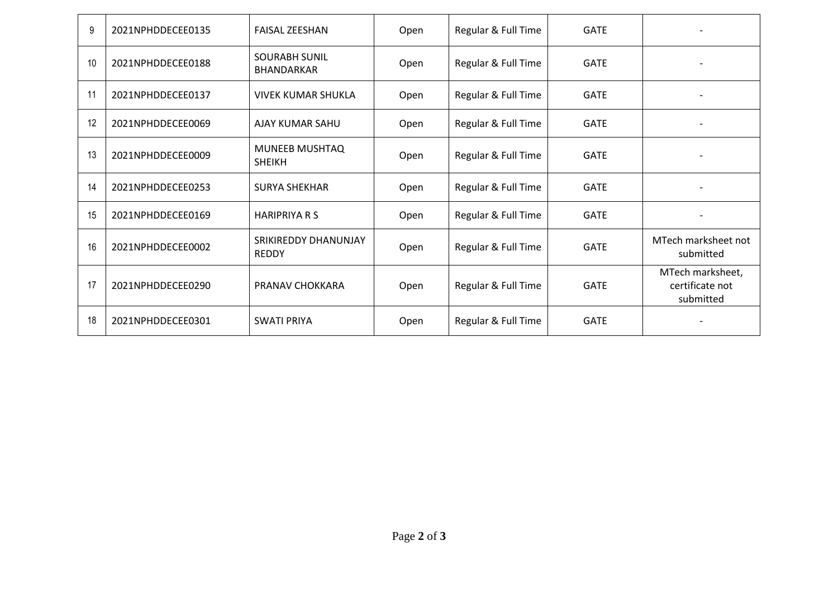| 9  | 2021NPHDDECEE0135 | <b>FAISAL ZEESHAN</b>                       | Open | Regular & Full Time | <b>GATE</b> |                                                  |
|----|-------------------|---------------------------------------------|------|---------------------|-------------|--------------------------------------------------|
| 10 | 2021NPHDDECEE0188 | <b>SOURABH SUNIL</b><br><b>BHANDARKAR</b>   | Open | Regular & Full Time | <b>GATE</b> |                                                  |
| 11 | 2021NPHDDECEE0137 | <b>VIVEK KUMAR SHUKLA</b>                   | Open | Regular & Full Time | <b>GATE</b> |                                                  |
| 12 | 2021NPHDDECEE0069 | AJAY KUMAR SAHU                             | Open | Regular & Full Time | <b>GATE</b> |                                                  |
| 13 | 2021NPHDDECEE0009 | MUNEEB MUSHTAQ<br><b>SHEIKH</b>             | Open | Regular & Full Time | <b>GATE</b> |                                                  |
| 14 | 2021NPHDDECEE0253 | <b>SURYA SHEKHAR</b>                        | Open | Regular & Full Time | <b>GATE</b> |                                                  |
| 15 | 2021NPHDDECEE0169 | <b>HARIPRIYA R S</b>                        | Open | Regular & Full Time | <b>GATE</b> |                                                  |
| 16 | 2021NPHDDECEE0002 | <b>SRIKIREDDY DHANUNJAY</b><br><b>REDDY</b> | Open | Regular & Full Time | <b>GATE</b> | MTech marksheet not<br>submitted                 |
| 17 | 2021NPHDDECEE0290 | PRANAV CHOKKARA                             | Open | Regular & Full Time | <b>GATE</b> | MTech marksheet,<br>certificate not<br>submitted |
| 18 | 2021NPHDDECEE0301 | <b>SWATI PRIYA</b>                          | Open | Regular & Full Time | <b>GATE</b> |                                                  |